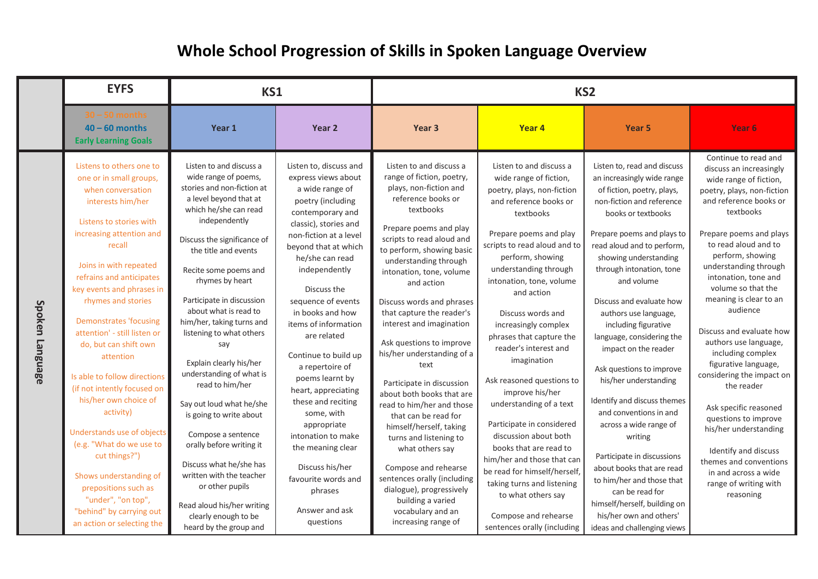## **Whole School Progression of Skills in Spoken Language Overview**

|                 | <b>EYFS</b><br>KS1                                                                                                                                                                                                                                                                                                                                                                                                                                                                                                                                                                                                                                                                               |                                                                                                                                                                                                                                                                                                                                                                                                                                                                                                                                                                                                                                                                                                                         | KS <sub>2</sub>                                                                                                                                                                                                                                                                                                                                                                                                                                                                                                                                                                                 |                                                                                                                                                                                                                                                                                                                                                                                                                                                                                                                                                                                                                                                                                                                                                                             |                                                                                                                                                                                                                                                                                                                                                                                                                                                                                                                                                                                                                                                                                                                              |                                                                                                                                                                                                                                                                                                                                                                                                                                                                                                                                                                                                                                                                                                                                                                     |                                                                                                                                                                                                                                                                                                                                                                                                                                                                                                                                                                                                                                                                           |
|-----------------|--------------------------------------------------------------------------------------------------------------------------------------------------------------------------------------------------------------------------------------------------------------------------------------------------------------------------------------------------------------------------------------------------------------------------------------------------------------------------------------------------------------------------------------------------------------------------------------------------------------------------------------------------------------------------------------------------|-------------------------------------------------------------------------------------------------------------------------------------------------------------------------------------------------------------------------------------------------------------------------------------------------------------------------------------------------------------------------------------------------------------------------------------------------------------------------------------------------------------------------------------------------------------------------------------------------------------------------------------------------------------------------------------------------------------------------|-------------------------------------------------------------------------------------------------------------------------------------------------------------------------------------------------------------------------------------------------------------------------------------------------------------------------------------------------------------------------------------------------------------------------------------------------------------------------------------------------------------------------------------------------------------------------------------------------|-----------------------------------------------------------------------------------------------------------------------------------------------------------------------------------------------------------------------------------------------------------------------------------------------------------------------------------------------------------------------------------------------------------------------------------------------------------------------------------------------------------------------------------------------------------------------------------------------------------------------------------------------------------------------------------------------------------------------------------------------------------------------------|------------------------------------------------------------------------------------------------------------------------------------------------------------------------------------------------------------------------------------------------------------------------------------------------------------------------------------------------------------------------------------------------------------------------------------------------------------------------------------------------------------------------------------------------------------------------------------------------------------------------------------------------------------------------------------------------------------------------------|---------------------------------------------------------------------------------------------------------------------------------------------------------------------------------------------------------------------------------------------------------------------------------------------------------------------------------------------------------------------------------------------------------------------------------------------------------------------------------------------------------------------------------------------------------------------------------------------------------------------------------------------------------------------------------------------------------------------------------------------------------------------|---------------------------------------------------------------------------------------------------------------------------------------------------------------------------------------------------------------------------------------------------------------------------------------------------------------------------------------------------------------------------------------------------------------------------------------------------------------------------------------------------------------------------------------------------------------------------------------------------------------------------------------------------------------------------|
|                 | $30 - 50$ months<br>$40 - 60$ months<br><b>Early Learning Goals</b>                                                                                                                                                                                                                                                                                                                                                                                                                                                                                                                                                                                                                              | Year 1                                                                                                                                                                                                                                                                                                                                                                                                                                                                                                                                                                                                                                                                                                                  | Year 2                                                                                                                                                                                                                                                                                                                                                                                                                                                                                                                                                                                          | Year <sub>3</sub>                                                                                                                                                                                                                                                                                                                                                                                                                                                                                                                                                                                                                                                                                                                                                           | Year <sub>4</sub>                                                                                                                                                                                                                                                                                                                                                                                                                                                                                                                                                                                                                                                                                                            | Year 5                                                                                                                                                                                                                                                                                                                                                                                                                                                                                                                                                                                                                                                                                                                                                              | Year 6                                                                                                                                                                                                                                                                                                                                                                                                                                                                                                                                                                                                                                                                    |
| Spoken Language | Listens to others one to<br>one or in small groups,<br>when conversation<br>interests him/her<br>Listens to stories with<br>increasing attention and<br>recall<br>Joins in with repeated<br>refrains and anticipates<br>key events and phrases in<br>rhymes and stories<br><b>Demonstrates 'focusing</b><br>attention' - still listen or<br>do, but can shift own<br>attention<br>Is able to follow directions<br>(if not intently focused on<br>his/her own choice of<br>activity)<br>Understands use of objects<br>(e.g. "What do we use to<br>cut things?")<br>Shows understanding of<br>prepositions such as<br>"under", "on top",<br>"behind" by carrying out<br>an action or selecting the | Listen to and discuss a<br>wide range of poems,<br>stories and non-fiction at<br>a level beyond that at<br>which he/she can read<br>independently<br>Discuss the significance of<br>the title and events<br>Recite some poems and<br>rhymes by heart<br>Participate in discussion<br>about what is read to<br>him/her, taking turns and<br>listening to what others<br>say<br>Explain clearly his/her<br>understanding of what is<br>read to him/her<br>Say out loud what he/she<br>is going to write about<br>Compose a sentence<br>orally before writing it<br>Discuss what he/she has<br>written with the teacher<br>or other pupils<br>Read aloud his/her writing<br>clearly enough to be<br>heard by the group and | Listen to, discuss and<br>express views about<br>a wide range of<br>poetry (including<br>contemporary and<br>classic), stories and<br>non-fiction at a level<br>beyond that at which<br>he/she can read<br>independently<br>Discuss the<br>sequence of events<br>in books and how<br>items of information<br>are related<br>Continue to build up<br>a repertoire of<br>poems learnt by<br>heart, appreciating<br>these and reciting<br>some, with<br>appropriate<br>intonation to make<br>the meaning clear<br>Discuss his/her<br>favourite words and<br>phrases<br>Answer and ask<br>questions | Listen to and discuss a<br>range of fiction, poetry,<br>plays, non-fiction and<br>reference books or<br>textbooks<br>Prepare poems and play<br>scripts to read aloud and<br>to perform, showing basic<br>understanding through<br>intonation, tone, volume<br>and action<br>Discuss words and phrases<br>that capture the reader's<br>interest and imagination<br>Ask questions to improve<br>his/her understanding of a<br>text<br>Participate in discussion<br>about both books that are<br>read to him/her and those<br>that can be read for<br>himself/herself, taking<br>turns and listening to<br>what others say<br>Compose and rehearse<br>sentences orally (including<br>dialogue), progressively<br>building a varied<br>vocabulary and an<br>increasing range of | Listen to and discuss a<br>wide range of fiction,<br>poetry, plays, non-fiction<br>and reference books or<br>textbooks<br>Prepare poems and play<br>scripts to read aloud and to<br>perform, showing<br>understanding through<br>intonation, tone, volume<br>and action<br>Discuss words and<br>increasingly complex<br>phrases that capture the<br>reader's interest and<br>imagination<br>Ask reasoned questions to<br>improve his/her<br>understanding of a text<br>Participate in considered<br>discussion about both<br>books that are read to<br>him/her and those that can<br>be read for himself/herself,<br>taking turns and listening<br>to what others say<br>Compose and rehearse<br>sentences orally (including | Listen to, read and discuss<br>an increasingly wide range<br>of fiction, poetry, plays,<br>non-fiction and reference<br>books or textbooks<br>Prepare poems and plays to<br>read aloud and to perform,<br>showing understanding<br>through intonation, tone<br>and volume<br>Discuss and evaluate how<br>authors use language,<br>including figurative<br>language, considering the<br>impact on the reader<br>Ask questions to improve<br>his/her understanding<br>Identify and discuss themes<br>and conventions in and<br>across a wide range of<br>writing<br>Participate in discussions<br>about books that are read<br>to him/her and those that<br>can be read for<br>himself/herself, building on<br>his/her own and others'<br>ideas and challenging views | Continue to read and<br>discuss an increasingly<br>wide range of fiction,<br>poetry, plays, non-fiction<br>and reference books or<br>textbooks<br>Prepare poems and plays<br>to read aloud and to<br>perform, showing<br>understanding through<br>intonation, tone and<br>volume so that the<br>meaning is clear to an<br>audience<br>Discuss and evaluate how<br>authors use language,<br>including complex<br>figurative language,<br>considering the impact on<br>the reader<br>Ask specific reasoned<br>questions to improve<br>his/her understanding<br>Identify and discuss<br>themes and conventions<br>in and across a wide<br>range of writing with<br>reasoning |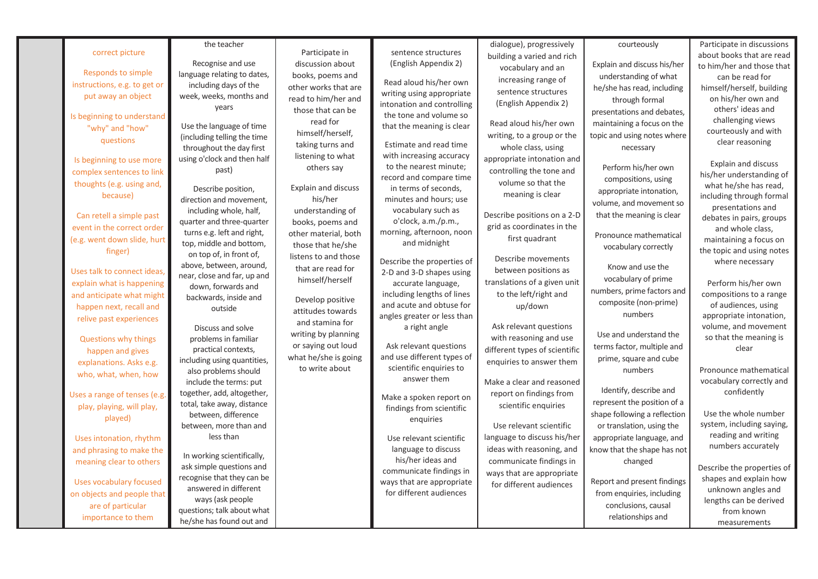|                                | the teacher                                         |                            |                                                      | dialogue), progressively      | courteously                  | Participate in discussions                      |
|--------------------------------|-----------------------------------------------------|----------------------------|------------------------------------------------------|-------------------------------|------------------------------|-------------------------------------------------|
| correct picture                |                                                     | Participate in             | sentence structures                                  | building a varied and rich    |                              | about books that are read                       |
|                                | Recognise and use                                   | discussion about           | (English Appendix 2)                                 | vocabulary and an             | Explain and discuss his/her  | to him/her and those that                       |
| <b>Responds to simple</b>      | language relating to dates,                         | books, poems and           | Read aloud his/her own                               | increasing range of           | understanding of what        | can be read for                                 |
| instructions, e.g. to get or   | including days of the                               | other works that are       | writing using appropriate                            | sentence structures           | he/she has read, including   | himself/herself, building                       |
| put away an object             | week, weeks, months and                             | read to him/her and        | intonation and controlling                           | (English Appendix 2)          | through formal               | on his/her own and                              |
|                                | vears                                               | those that can be          | the tone and volume so                               |                               | presentations and debates,   | others' ideas and                               |
| Is beginning to understand     | Use the language of time                            | read for                   | that the meaning is clear                            | Read aloud his/her own        | maintaining a focus on the   | challenging views                               |
| "why" and "how"                | (including telling the time                         | himself/herself,           |                                                      | writing, to a group or the    | topic and using notes where  | courteously and with                            |
| questions                      | throughout the day first                            | taking turns and           | Estimate and read time                               | whole class, using            | necessary                    | clear reasoning                                 |
|                                | using o'clock and then half                         | listening to what          | with increasing accuracy                             | appropriate intonation and    |                              |                                                 |
| Is beginning to use more       | past)                                               | others say                 | to the nearest minute;                               |                               | Perform his/her own          | <b>Explain and discuss</b>                      |
| complex sentences to link      |                                                     |                            | record and compare time                              | controlling the tone and      | compositions, using          | his/her understanding of                        |
| thoughts (e.g. using and,      | Describe position,                                  | <b>Explain and discuss</b> | in terms of seconds,                                 | volume so that the            | appropriate intonation,      | what he/she has read,                           |
| because)                       | direction and movement,                             | his/her                    | minutes and hours; use                               | meaning is clear              | volume, and movement so      | including through formal                        |
|                                | including whole, half,                              | understanding of           | vocabulary such as                                   | Describe positions on a 2-D   |                              | presentations and                               |
| Can retell a simple past       | quarter and three-quarter                           | books, poems and           | o'clock, a.m./p.m.,                                  | grid as coordinates in the    | that the meaning is clear    | debates in pairs, groups                        |
| event in the correct order     | turns e.g. left and right,                          | other material, both       | morning, afternoon, noon                             |                               | Pronounce mathematical       | and whole class,                                |
| (e.g. went down slide, hurt    | top, middle and bottom,                             | those that he/she          | and midnight                                         | first quadrant                | vocabulary correctly         | maintaining a focus on                          |
| finger)                        | on top of, in front of,                             | listens to and those       |                                                      | Describe movements            |                              | the topic and using notes                       |
|                                | above, between, around,                             | that are read for          | Describe the properties of                           | between positions as          | Know and use the             | where necessary                                 |
| Uses talk to connect ideas.    | near, close and far, up and                         | himself/herself            | 2-D and 3-D shapes using                             |                               | vocabulary of prime          |                                                 |
| explain what is happening      | down, forwards and                                  |                            | accurate language,                                   | translations of a given unit  | numbers, prime factors and   | Perform his/her own                             |
| and anticipate what might      | backwards, inside and                               | Develop positive           | including lengths of lines                           | to the left/right and         | composite (non-prime)        | compositions to a range                         |
| happen next, recall and        | outside                                             | attitudes towards          | and acute and obtuse for                             | up/down                       | numbers                      | of audiences, using                             |
| relive past experiences        |                                                     | and stamina for            | angles greater or less than                          | Ask relevant questions        |                              | appropriate intonation,<br>volume, and movement |
|                                | Discuss and solve                                   | writing by planning        | a right angle                                        |                               | Use and understand the       | so that the meaning is                          |
| Questions why things           | problems in familiar                                | or saying out loud         | Ask relevant questions                               | with reasoning and use        | terms factor, multiple and   | clear                                           |
| happen and gives               | practical contexts,                                 | what he/she is going       | and use different types of                           | different types of scientific | prime, square and cube       |                                                 |
| explanations. Asks e.g.        | including using quantities,<br>also problems should | to write about             | scientific enquiries to                              | enquiries to answer them      | numbers                      | Pronounce mathematical                          |
| who, what, when, how           | include the terms: put                              |                            | answer them                                          | Make a clear and reasoned     |                              | vocabulary correctly and                        |
|                                | together, add, altogether,                          |                            |                                                      |                               | Identify, describe and       | confidently                                     |
| Uses a range of tenses (e.g.   | total, take away, distance                          |                            | Make a spoken report on                              | report on findings from       | represent the position of a  |                                                 |
| play, playing, will play,      | between, difference                                 |                            | findings from scientific                             | scientific enquiries          | shape following a reflection | Use the whole number                            |
| played)                        | between, more than and                              |                            | enguiries                                            | Use relevant scientific       | or translation, using the    | system, including saying,                       |
|                                | less than                                           |                            |                                                      | language to discuss his/her   |                              | reading and writing                             |
| Uses intonation, rhythm        |                                                     |                            | Use relevant scientific                              |                               | appropriate language, and    | numbers accurately                              |
| and phrasing to make the       | In working scientifically,                          |                            | language to discuss                                  | ideas with reasoning, and     | know that the shape has not  |                                                 |
| meaning clear to others        | ask simple questions and                            |                            | his/her ideas and                                    | communicate findings in       | changed                      | Describe the properties of                      |
| <b>Uses vocabulary focused</b> | recognise that they can be                          |                            | communicate findings in<br>ways that are appropriate | ways that are appropriate     | Report and present findings  | shapes and explain how                          |
|                                | answered in different                               |                            | for different audiences                              | for different audiences       |                              | unknown angles and                              |
| on objects and people that     | ways (ask people                                    |                            |                                                      |                               | from enquiries, including    | lengths can be derived                          |
| are of particular              | questions; talk about what                          |                            |                                                      |                               | conclusions, causal          | from known                                      |
| importance to them             | he/she has found out and                            |                            |                                                      |                               | relationships and            | measurements                                    |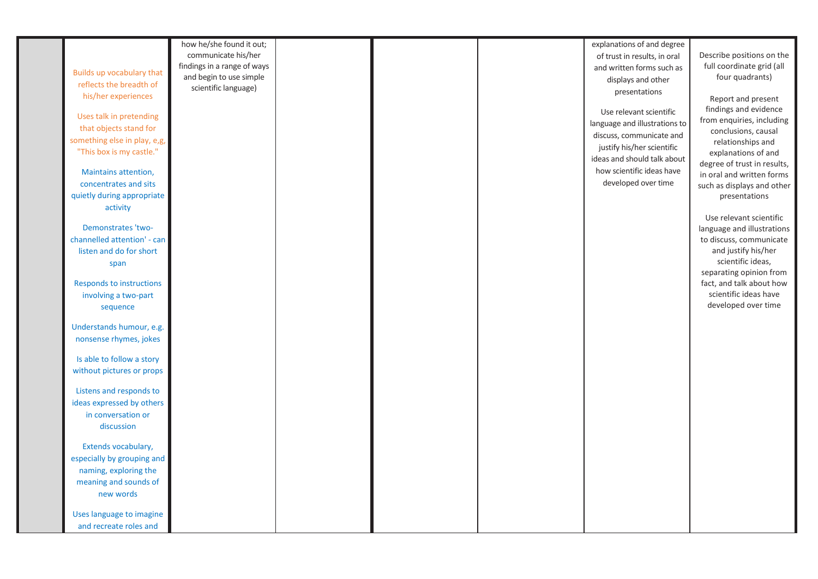|                                 | how he/she found it out;    |  | explanations of and degree    |                             |
|---------------------------------|-----------------------------|--|-------------------------------|-----------------------------|
|                                 | communicate his/her         |  | of trust in results, in oral  | Describe positions on the   |
|                                 | findings in a range of ways |  | and written forms such as     | full coordinate grid (all   |
| Builds up vocabulary that       | and begin to use simple     |  | displays and other            | four quadrants)             |
| reflects the breadth of         | scientific language)        |  | presentations                 |                             |
| his/her experiences             |                             |  |                               | Report and present          |
|                                 |                             |  | Use relevant scientific       | findings and evidence       |
| Uses talk in pretending         |                             |  |                               | from enquiries, including   |
| that objects stand for          |                             |  | language and illustrations to | conclusions, causal         |
| something else in play, e,g,    |                             |  | discuss, communicate and      | relationships and           |
| "This box is my castle."        |                             |  | justify his/her scientific    | explanations of and         |
|                                 |                             |  | ideas and should talk about   | degree of trust in results, |
| Maintains attention,            |                             |  | how scientific ideas have     | in oral and written forms   |
| concentrates and sits           |                             |  | developed over time           | such as displays and other  |
| quietly during appropriate      |                             |  |                               | presentations               |
|                                 |                             |  |                               |                             |
| activity                        |                             |  |                               | Use relevant scientific     |
| Demonstrates 'two-              |                             |  |                               |                             |
| channelled attention' - can     |                             |  |                               | language and illustrations  |
|                                 |                             |  |                               | to discuss, communicate     |
| listen and do for short         |                             |  |                               | and justify his/her         |
| span                            |                             |  |                               | scientific ideas,           |
|                                 |                             |  |                               | separating opinion from     |
| <b>Responds to instructions</b> |                             |  |                               | fact, and talk about how    |
| involving a two-part            |                             |  |                               | scientific ideas have       |
| sequence                        |                             |  |                               | developed over time         |
|                                 |                             |  |                               |                             |
| Understands humour, e.g.        |                             |  |                               |                             |
| nonsense rhymes, jokes          |                             |  |                               |                             |
|                                 |                             |  |                               |                             |
| Is able to follow a story       |                             |  |                               |                             |
| without pictures or props       |                             |  |                               |                             |
|                                 |                             |  |                               |                             |
| Listens and responds to         |                             |  |                               |                             |
| ideas expressed by others       |                             |  |                               |                             |
| in conversation or              |                             |  |                               |                             |
| discussion                      |                             |  |                               |                             |
|                                 |                             |  |                               |                             |
| Extends vocabulary,             |                             |  |                               |                             |
| especially by grouping and      |                             |  |                               |                             |
| naming, exploring the           |                             |  |                               |                             |
| meaning and sounds of           |                             |  |                               |                             |
| new words                       |                             |  |                               |                             |
|                                 |                             |  |                               |                             |
| Uses language to imagine        |                             |  |                               |                             |
| and recreate roles and          |                             |  |                               |                             |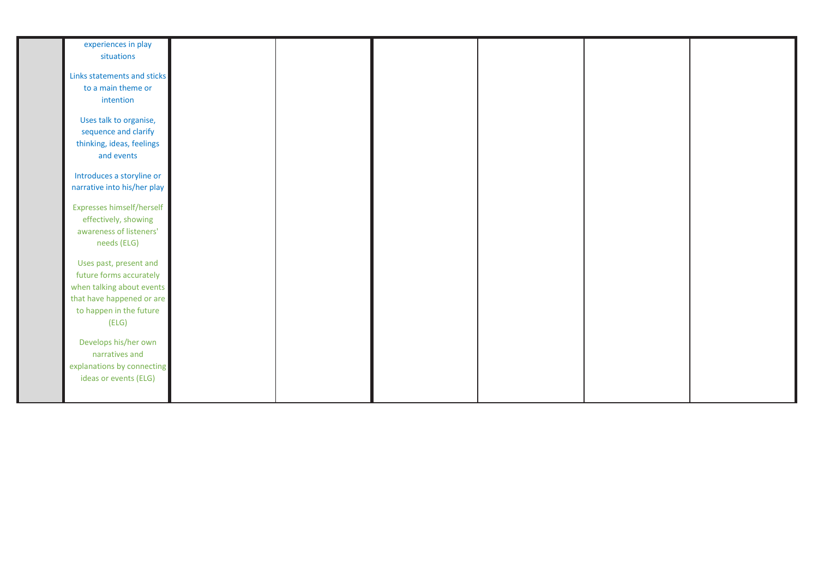| experiences in play              |  |  |  |
|----------------------------------|--|--|--|
| situations                       |  |  |  |
|                                  |  |  |  |
| Links statements and sticks      |  |  |  |
| to a main theme or               |  |  |  |
| intention                        |  |  |  |
|                                  |  |  |  |
| Uses talk to organise,           |  |  |  |
| sequence and clarify             |  |  |  |
| thinking, ideas, feelings        |  |  |  |
| and events                       |  |  |  |
|                                  |  |  |  |
| Introduces a storyline or        |  |  |  |
| narrative into his/her play      |  |  |  |
|                                  |  |  |  |
| <b>Expresses himself/herself</b> |  |  |  |
| effectively, showing             |  |  |  |
| awareness of listeners'          |  |  |  |
| needs (ELG)                      |  |  |  |
|                                  |  |  |  |
| Uses past, present and           |  |  |  |
| future forms accurately          |  |  |  |
| when talking about events        |  |  |  |
| that have happened or are        |  |  |  |
| to happen in the future          |  |  |  |
| (ELG)                            |  |  |  |
|                                  |  |  |  |
| Develops his/her own             |  |  |  |
| narratives and                   |  |  |  |
| explanations by connecting       |  |  |  |
| ideas or events (ELG)            |  |  |  |
|                                  |  |  |  |
|                                  |  |  |  |